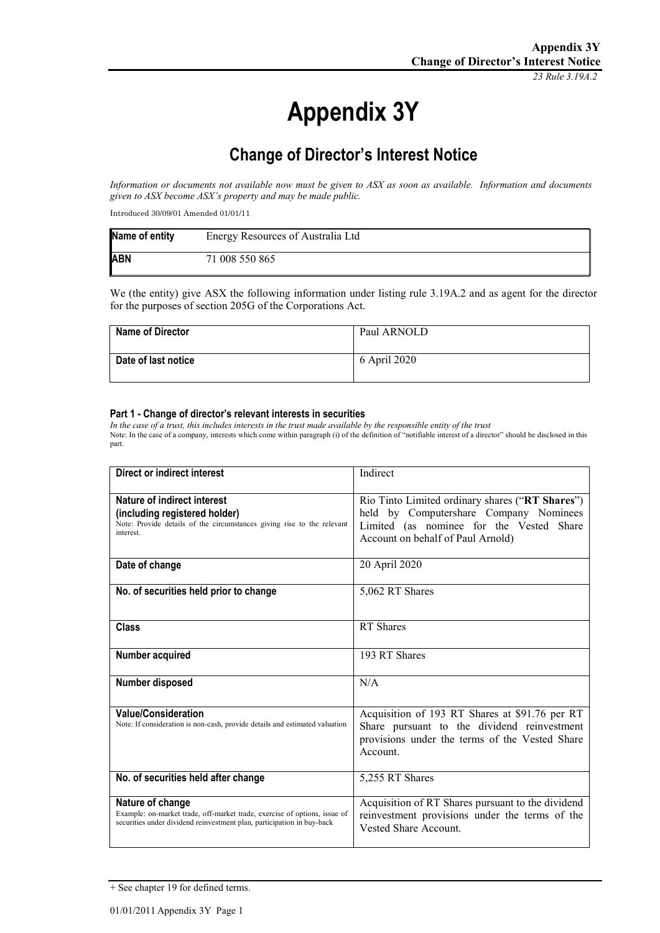*23 Rule 3.19A.2*

# **Appendix 3Y**

## **Change of Director's Interest Notice**

*Information or documents not available now must be given to ASX as soon as available. Information and documents given to ASX become ASX's property and may be made public.*

Introduced 30/09/01 Amended 01/01/11

| Name of entity | Energy Resources of Australia Ltd |
|----------------|-----------------------------------|
| <b>ABN</b>     | 71 008 550 865                    |

We (the entity) give ASX the following information under listing rule 3.19A.2 and as agent for the director for the purposes of section 205G of the Corporations Act.

| <b>Name of Director</b> | Paul ARNOLD  |
|-------------------------|--------------|
| Date of last notice     | 6 April 2020 |

#### **Part 1 - Change of director's relevant interests in securities**

*In the case of a trust, this includes interests in the trust made available by the responsible entity of the trust* Note: In the case of a company, interests which come within paragraph (i) of the definition of "notifiable interest of a director" should be disclosed in this part.

| Direct or indirect interest                                                                                                                                             | Indirect                                                                                                                                                                   |
|-------------------------------------------------------------------------------------------------------------------------------------------------------------------------|----------------------------------------------------------------------------------------------------------------------------------------------------------------------------|
| Nature of indirect interest<br>(including registered holder)<br>Note: Provide details of the circumstances giving rise to the relevant<br>interest.                     | Rio Tinto Limited ordinary shares ("RT Shares")<br>held by Computershare Company Nominees<br>Limited (as nominee for the Vested Share<br>Account on behalf of Paul Arnold) |
| Date of change                                                                                                                                                          | 20 April 2020                                                                                                                                                              |
| No. of securities held prior to change                                                                                                                                  | 5,062 RT Shares                                                                                                                                                            |
| <b>Class</b>                                                                                                                                                            | RT Shares                                                                                                                                                                  |
| Number acquired                                                                                                                                                         | 193 RT Shares                                                                                                                                                              |
| Number disposed                                                                                                                                                         | N/A                                                                                                                                                                        |
| <b>Value/Consideration</b><br>Note: If consideration is non-cash, provide details and estimated valuation                                                               | Acquisition of 193 RT Shares at \$91.76 per RT<br>Share pursuant to the dividend reinvestment<br>provisions under the terms of the Vested Share<br>Account.                |
| No. of securities held after change                                                                                                                                     | 5,255 RT Shares                                                                                                                                                            |
| Nature of change<br>Example: on-market trade, off-market trade, exercise of options, issue of<br>securities under dividend reinvestment plan, participation in buy-back | Acquisition of RT Shares pursuant to the dividend<br>reinvestment provisions under the terms of the<br>Vested Share Account.                                               |

<sup>+</sup> See chapter 19 for defined terms.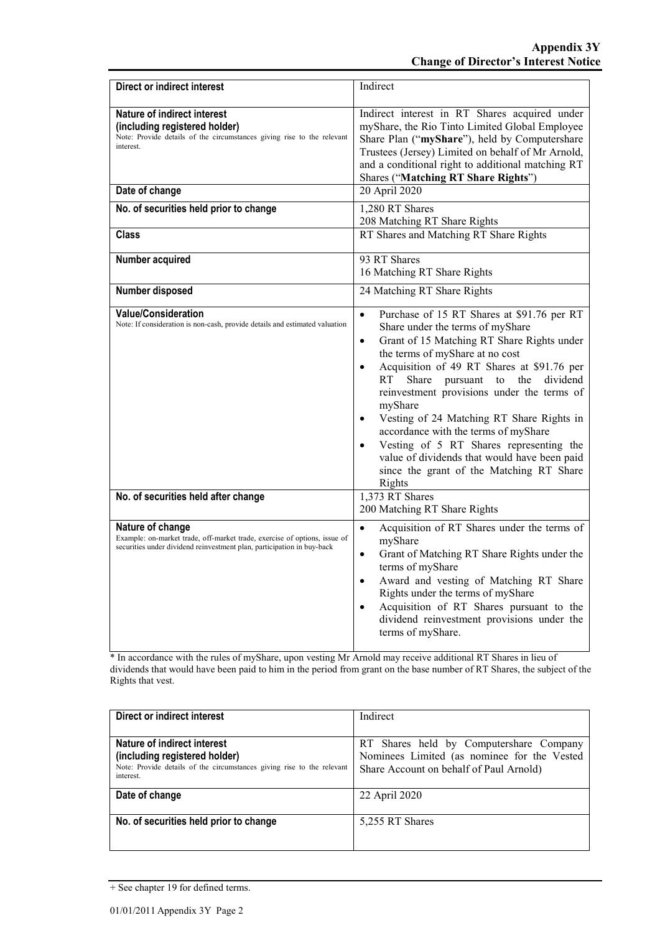| <b>Direct or indirect interest</b>                                                                                                                                      | Indirect                                                                                                                                                                                                                                                                                                                                                                                                                                                                                                                                                                                                           |
|-------------------------------------------------------------------------------------------------------------------------------------------------------------------------|--------------------------------------------------------------------------------------------------------------------------------------------------------------------------------------------------------------------------------------------------------------------------------------------------------------------------------------------------------------------------------------------------------------------------------------------------------------------------------------------------------------------------------------------------------------------------------------------------------------------|
| Nature of indirect interest<br>(including registered holder)<br>Note: Provide details of the circumstances giving rise to the relevant<br>interest                      | Indirect interest in RT Shares acquired under<br>myShare, the Rio Tinto Limited Global Employee<br>Share Plan ("myShare"), held by Computershare<br>Trustees (Jersey) Limited on behalf of Mr Arnold,<br>and a conditional right to additional matching RT<br>Shares ("Matching RT Share Rights")                                                                                                                                                                                                                                                                                                                  |
| Date of change                                                                                                                                                          | 20 April 2020                                                                                                                                                                                                                                                                                                                                                                                                                                                                                                                                                                                                      |
| No. of securities held prior to change                                                                                                                                  | 1,280 RT Shares<br>208 Matching RT Share Rights                                                                                                                                                                                                                                                                                                                                                                                                                                                                                                                                                                    |
| <b>Class</b>                                                                                                                                                            | RT Shares and Matching RT Share Rights                                                                                                                                                                                                                                                                                                                                                                                                                                                                                                                                                                             |
| Number acquired                                                                                                                                                         | 93 RT Shares<br>16 Matching RT Share Rights                                                                                                                                                                                                                                                                                                                                                                                                                                                                                                                                                                        |
| Number disposed                                                                                                                                                         | 24 Matching RT Share Rights                                                                                                                                                                                                                                                                                                                                                                                                                                                                                                                                                                                        |
| <b>Value/Consideration</b><br>Note: If consideration is non-cash, provide details and estimated valuation                                                               | Purchase of 15 RT Shares at \$91.76 per RT<br>$\bullet$<br>Share under the terms of myShare<br>Grant of 15 Matching RT Share Rights under<br>$\bullet$<br>the terms of myShare at no cost<br>Acquisition of 49 RT Shares at \$91.76 per<br>$\bullet$<br><b>RT</b><br>Share pursuant to<br>the dividend<br>reinvestment provisions under the terms of<br>myShare<br>Vesting of 24 Matching RT Share Rights in<br>accordance with the terms of myShare<br>Vesting of 5 RT Shares representing the<br>$\bullet$<br>value of dividends that would have been paid<br>since the grant of the Matching RT Share<br>Rights |
| No. of securities held after change                                                                                                                                     | 1,373 RT Shares<br>200 Matching RT Share Rights                                                                                                                                                                                                                                                                                                                                                                                                                                                                                                                                                                    |
| Nature of change<br>Example: on-market trade, off-market trade, exercise of options, issue of<br>securities under dividend reinvestment plan, participation in buy-back | Acquisition of RT Shares under the terms of<br>$\bullet$<br>myShare<br>Grant of Matching RT Share Rights under the<br>$\bullet$<br>terms of myShare<br>Award and vesting of Matching RT Share<br>$\bullet$<br>Rights under the terms of myShare<br>Acquisition of RT Shares pursuant to the<br>$\bullet$<br>dividend reinvestment provisions under the<br>terms of myShare.                                                                                                                                                                                                                                        |

<sup>1</sup><br>\* In accordance with the rules of myShare, upon vesting Mr Arnold may receive additional RT Shares in lieu of dividends that would have been paid to him in the period from grant on the base number of RT Shares, the subject of the Rights that vest.

| Direct or indirect interest                                            | Indirect                                    |
|------------------------------------------------------------------------|---------------------------------------------|
|                                                                        |                                             |
| Nature of indirect interest                                            | RT Shares held by Computershare Company     |
| (including registered holder)                                          | Nominees Limited (as nominee for the Vested |
| Note: Provide details of the circumstances giving rise to the relevant | Share Account on behalf of Paul Arnold)     |
| interest.                                                              |                                             |
| Date of change                                                         | 22 April 2020                               |
|                                                                        |                                             |
| No. of securities held prior to change                                 | 5,255 RT Shares                             |
|                                                                        |                                             |
|                                                                        |                                             |

<sup>+</sup> See chapter 19 for defined terms.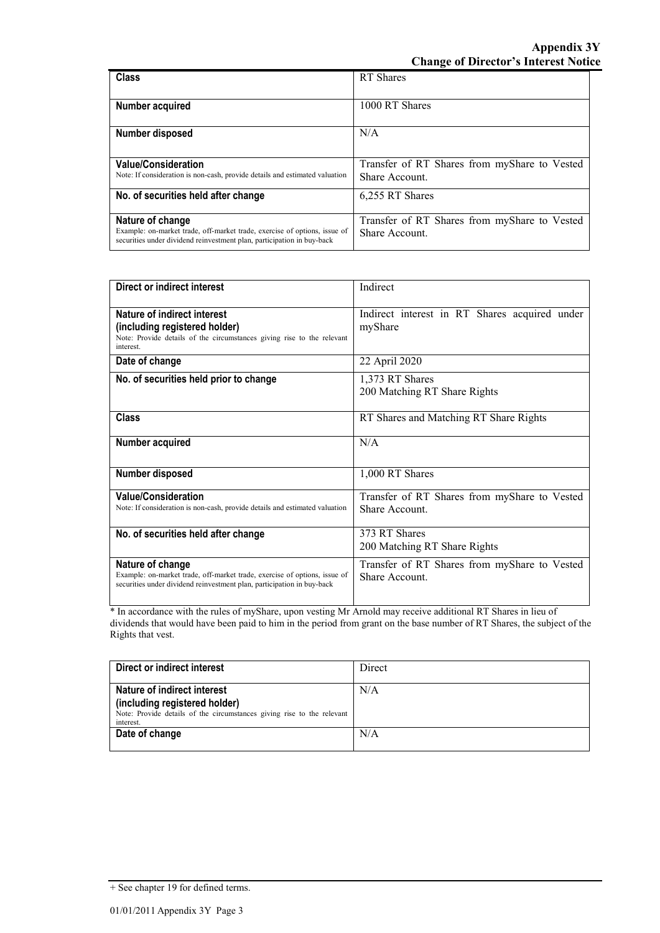| <b>Class</b>                                                                                                                                        | RT Shares                                    |
|-----------------------------------------------------------------------------------------------------------------------------------------------------|----------------------------------------------|
|                                                                                                                                                     |                                              |
| Number acquired                                                                                                                                     | 1000 RT Shares                               |
|                                                                                                                                                     |                                              |
| Number disposed                                                                                                                                     | N/A                                          |
|                                                                                                                                                     |                                              |
| <b>Value/Consideration</b>                                                                                                                          | Transfer of RT Shares from myShare to Vested |
| Note: If consideration is non-cash, provide details and estimated valuation                                                                         | Share Account.                               |
| No. of securities held after change                                                                                                                 | 6,255 RT Shares                              |
|                                                                                                                                                     |                                              |
| Nature of change                                                                                                                                    | Transfer of RT Shares from myShare to Vested |
| Example: on-market trade, off-market trade, exercise of options, issue of<br>securities under dividend reinvestment plan, participation in buy-back | Share Account.                               |

| Direct or indirect interest                                                                                                                                             | Indirect                                                       |
|-------------------------------------------------------------------------------------------------------------------------------------------------------------------------|----------------------------------------------------------------|
| Nature of indirect interest<br>(including registered holder)<br>Note: Provide details of the circumstances giving rise to the relevant<br>interest.                     | Indirect interest in RT Shares acquired under<br>myShare       |
| Date of change                                                                                                                                                          | 22 April 2020                                                  |
| No. of securities held prior to change                                                                                                                                  | 1,373 RT Shares<br>200 Matching RT Share Rights                |
| <b>Class</b>                                                                                                                                                            | RT Shares and Matching RT Share Rights                         |
| Number acquired                                                                                                                                                         | N/A                                                            |
| Number disposed                                                                                                                                                         | 1,000 RT Shares                                                |
| <b>Value/Consideration</b><br>Note: If consideration is non-cash, provide details and estimated valuation                                                               | Transfer of RT Shares from myShare to Vested<br>Share Account. |
| No. of securities held after change                                                                                                                                     | 373 RT Shares<br>200 Matching RT Share Rights                  |
| Nature of change<br>Example: on-market trade, off-market trade, exercise of options, issue of<br>securities under dividend reinvestment plan, participation in buy-back | Transfer of RT Shares from myShare to Vested<br>Share Account. |

\* In accordance with the rules of myShare, upon vesting Mr Arnold may receive additional RT Shares in lieu of dividends that would have been paid to him in the period from grant on the base number of RT Shares, the subject of the Rights that vest.

| Direct or indirect interest                                                                                                                         | Direct |
|-----------------------------------------------------------------------------------------------------------------------------------------------------|--------|
| Nature of indirect interest<br>(including registered holder)<br>Note: Provide details of the circumstances giving rise to the relevant<br>interest. | N/A    |
| Date of change                                                                                                                                      | N/A    |

<sup>+</sup> See chapter 19 for defined terms.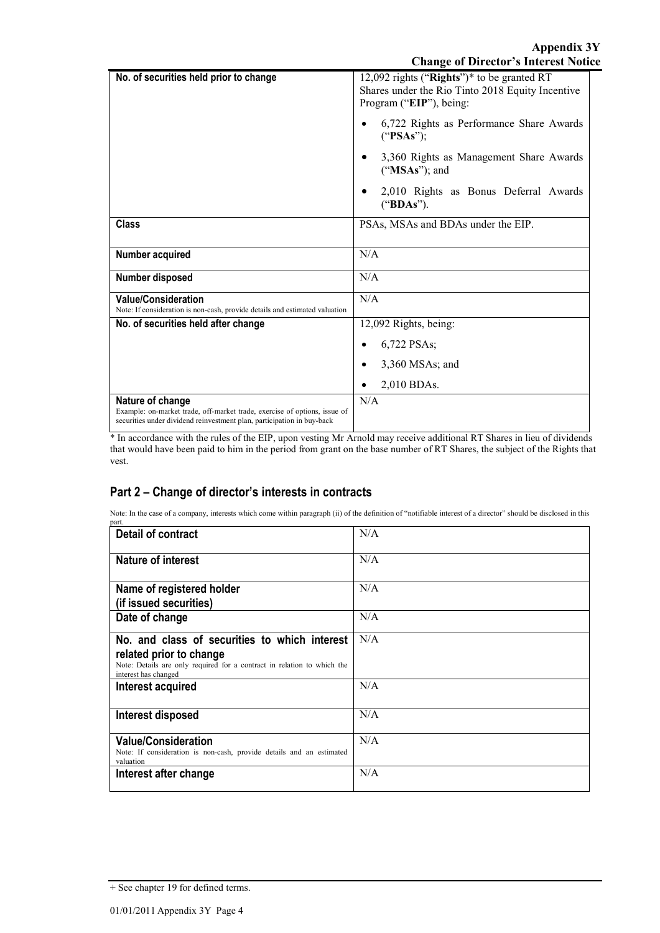| No. of securities held prior to change                                                                                                                                  | 12,092 rights ("Rights")* to be granted RT<br>Shares under the Rio Tinto 2018 Equity Incentive<br>Program ("EIP"), being: |
|-------------------------------------------------------------------------------------------------------------------------------------------------------------------------|---------------------------------------------------------------------------------------------------------------------------|
|                                                                                                                                                                         | 6,722 Rights as Performance Share Awards<br>("PSAs");                                                                     |
|                                                                                                                                                                         | 3,360 Rights as Management Share Awards<br>$("MSAs")$ ; and                                                               |
|                                                                                                                                                                         | 2,010 Rights as Bonus Deferral Awards<br>("BDAs").                                                                        |
| <b>Class</b>                                                                                                                                                            | PSAs, MSAs and BDAs under the EIP.                                                                                        |
| Number acquired                                                                                                                                                         | N/A                                                                                                                       |
| Number disposed                                                                                                                                                         | N/A                                                                                                                       |
| <b>Value/Consideration</b><br>Note: If consideration is non-cash, provide details and estimated valuation                                                               | N/A                                                                                                                       |
| No. of securities held after change                                                                                                                                     | 12,092 Rights, being:                                                                                                     |
|                                                                                                                                                                         | 6,722 PSAs;                                                                                                               |
|                                                                                                                                                                         | 3,360 MSAs; and                                                                                                           |
|                                                                                                                                                                         | 2,010 BDAs.                                                                                                               |
| Nature of change<br>Example: on-market trade, off-market trade, exercise of options, issue of<br>securities under dividend reinvestment plan, participation in buy-back | N/A                                                                                                                       |

\* In accordance with the rules of the EIP, upon vesting Mr Arnold may receive additional RT Shares in lieu of dividends that would have been paid to him in the period from grant on the base number of RT Shares, the subject of the Rights that vest.

### **Part 2 – Change of director's interests in contracts**

Note: In the case of a company, interests which come within paragraph (ii) of the definition of "notifiable interest of a director" should be disclosed in this part.

| Detail of contract                                                                                                                                                          | N/A |
|-----------------------------------------------------------------------------------------------------------------------------------------------------------------------------|-----|
| <b>Nature of interest</b>                                                                                                                                                   | N/A |
| Name of registered holder<br>(if issued securities)                                                                                                                         | N/A |
| Date of change                                                                                                                                                              | N/A |
| No. and class of securities to which interest<br>related prior to change<br>Note: Details are only required for a contract in relation to which the<br>interest has changed | N/A |
| Interest acquired                                                                                                                                                           | N/A |
| Interest disposed                                                                                                                                                           | N/A |
| <b>Value/Consideration</b><br>Note: If consideration is non-cash, provide details and an estimated<br>valuation                                                             | N/A |
| Interest after change                                                                                                                                                       | N/A |

<sup>+</sup> See chapter 19 for defined terms.